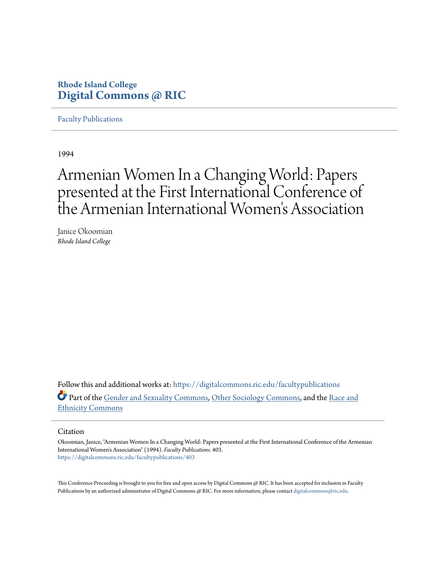# **Rhode Island College [Digital Commons @ RIC](https://digitalcommons.ric.edu?utm_source=digitalcommons.ric.edu%2Ffacultypublications%2F403&utm_medium=PDF&utm_campaign=PDFCoverPages)**

[Faculty Publications](https://digitalcommons.ric.edu/facultypublications?utm_source=digitalcommons.ric.edu%2Ffacultypublications%2F403&utm_medium=PDF&utm_campaign=PDFCoverPages)

1994

# Armenian Women In a Changing World: Papers presented at the First International Conference of the Armenian International Women 's Association

Janice Okoomian *Rhode Island College*

Follow this and additional works at: [https://digitalcommons.ric.edu/facultypublications](https://digitalcommons.ric.edu/facultypublications?utm_source=digitalcommons.ric.edu%2Ffacultypublications%2F403&utm_medium=PDF&utm_campaign=PDFCoverPages) Part of the [Gender and Sexuality Commons](http://network.bepress.com/hgg/discipline/420?utm_source=digitalcommons.ric.edu%2Ffacultypublications%2F403&utm_medium=PDF&utm_campaign=PDFCoverPages), [Other Sociology Commons](http://network.bepress.com/hgg/discipline/434?utm_source=digitalcommons.ric.edu%2Ffacultypublications%2F403&utm_medium=PDF&utm_campaign=PDFCoverPages), and the [Race and](http://network.bepress.com/hgg/discipline/426?utm_source=digitalcommons.ric.edu%2Ffacultypublications%2F403&utm_medium=PDF&utm_campaign=PDFCoverPages) [Ethnicity Commons](http://network.bepress.com/hgg/discipline/426?utm_source=digitalcommons.ric.edu%2Ffacultypublications%2F403&utm_medium=PDF&utm_campaign=PDFCoverPages)

#### Citation

Okoomian, Janice, "Armenian Women In a Changing World: Papers presented at the First International Conference of the Armenian International Women's Association" (1994). *Faculty Publications*. 403. [https://digitalcommons.ric.edu/facultypublications/403](https://digitalcommons.ric.edu/facultypublications/403?utm_source=digitalcommons.ric.edu%2Ffacultypublications%2F403&utm_medium=PDF&utm_campaign=PDFCoverPages)

This Conference Proceeding is brought to you for free and open access by Digital Commons @ RIC. It has been accepted for inclusion in Faculty Publications by an authorized administrator of Digital Commons @ RIC. For more information, please contact [digitalcommons@ric.edu](mailto:digitalcommons@ric.edu).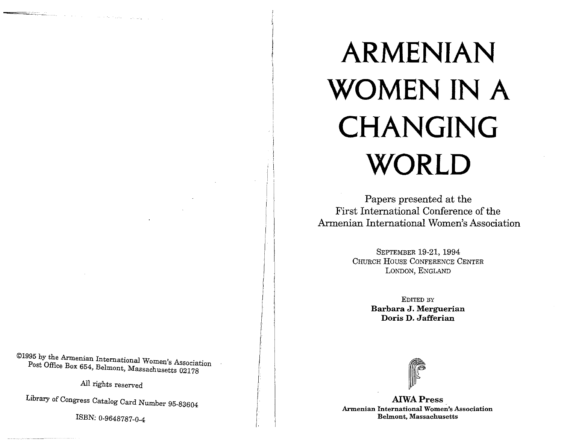©1995 by the Armenian International Women's Association Post Office Box 654, Belmont, Massachusetts 02178

All rights reserved

Library of Congress Catalog Card Number 95-83604

*ISBN:* 0-9648787-0-4

# **ARMENIAN WOMEN IN A CHANGING WORLD**

Papers presented at the First International Conference of the Armenian International Women's Association

> SEPTEMBER 19-21, 1994 CHURCH HOUSE CONFERENCE CENTER LONDON, ENGLAND

> > EDITED BY **Barbara J. Merguerian Doris D. Jafferian**



**AIWAPress Armenian International Women's Association Belmont, Massachusetts**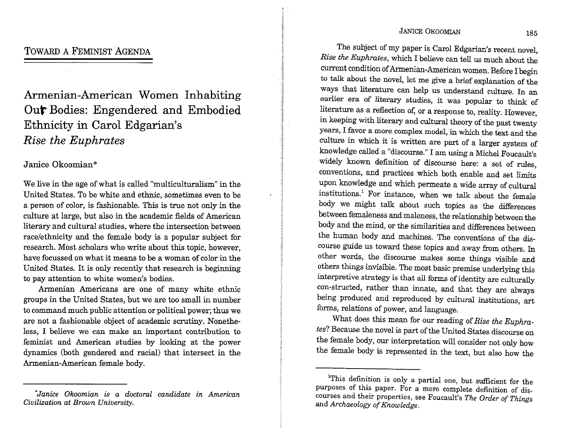## JANICE OKOOMIAN 185

Armenian-American Women Inhabiting **Out** Bodies: Engendered and Embodied Ethnicity in Carol Edgarian's *Rise the Euphrates* 

# Janice Okoomian\*

We live in the age of what is called "multiculturalism" in the United States. To be white and ethnic, sometimes even to be a person of color, is fashionable. This is true not only in the culture at large, but also in the academic fields of American literary and cultural studies, where the intersection between race/ethnicity and the female body is a popular subject for research. Most scholars who write about this topic, however, have focussed on what it means to be a woman of color in the United States. It is only recently that research is beginning to pay attention to white women's bodies.

Armenian Americans are one of many white ethnic groups in the United States, but we are too small in number to command much public attention or political power; thus we are not a fashionable object of academic scrutiny. Nonetheless, I believe we can make an important contribution to feminist and American studies by looking at the power dynamics (both gendered and racial) that intersect in the Armenian-American female body.

The subject of my paper is Carol Edgarian's recent novel, *Rise the Euphrates,* which I believe can tell us much about the current condition of Armenian-American women. Before I begin to talk about the novel, let me give a brief explanation of the ways that literature can help us understand culture. In an earlier era of literary studies, it was popular to think of literature as a reflection of, or a response to, reality. However, in keeping with literary and cultural theory of the past twenty years, I favor a more complex model, in which the text and the culture in which it is written are part of a larger system of knowledge called a "discourse." I am using a Michel Foucault's widely known definition of discourse here: a set of rules, conventions, and practices which both enable and set limits upon knowledge and which permeate a wide array of cultural institutions.<sup>1</sup> For instance, when we talk about the female body we might talk about such topics as the differences between femaleness and maleness, the relationship between the body and the mind, or the similarities and differences between the human body and machines. The conventions of the discourse guide us toward these topics and away from others. In other words, the discourse makes some things visible and others things invisible. The most basic premise underlying this interpretive strategy is that all forms of identity are culturally con-structed, rather than innate, and that they are always being produced and reproduced by cultural institutions, art forms, relations of power, and language.

What does this mean for our reading of *Rise the Euphrates?* Because the novel is part of the United States discourse on the female body, our interpretation will consider not only how the female body is represented in the text, but also how the

*<sup>&</sup>quot;Janice Okoomian is a doctoral candidate in American Civilization at Brown University.* 

<sup>&</sup>lt;sup>1</sup>This definition is only a partial one, but sufficient for the purposes of this paper. For a more complete definition of discourses and their properties, see Foucault's *The Order of Things*  and *Archaeology of Knowledge.*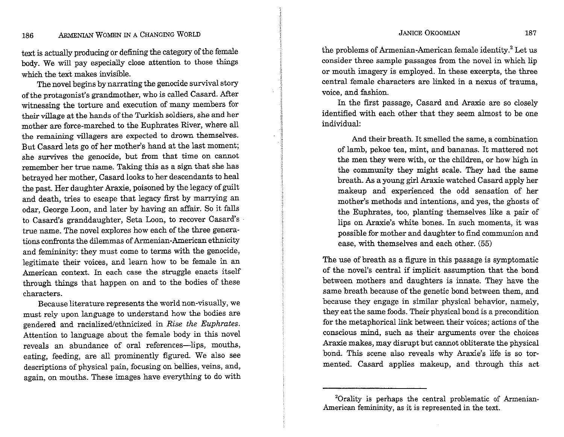#### JANICE OKOOMIAN 187

# 186 ARMENIAN WOMEN IN A CHANGING WORLD

text is actually producing or defining the category of the female body. We will pay especially close attention to those things which the text makes invisible.

The novel begins by narrating the genocide survival story of the protagonist's grandmother, who is called Casard. After witnessing the torture and execution of many members for their village at the hands of the Turkish soldiers, she and her mother are force-marched to the Euphrates River, where all the remaining villagers are expected to drown themselves. But Casard lets go of her mother's hand at the last moment; she survives the genocide, but from that time on cannot remember her true name. Taking this as a sign that she has betrayed her mother, Casard looks to her descendants to heal the past. Her daughter Araxie, poisoned by the legacy of guilt and death, tries to escape that legacy first by marrying an odar, George Loon, and later by having an affair. So it falls to Casard's granddaughter, Seta Loon, to recover Casard's · true name. The novel explores how each of the three generations confronts the dilemmas of Armenian-American ethnicity and femininity: they must come to terms with the genocide, legitimate their voices, and learn how to be female in an American context. In each case the struggle enacts itself through things that happen on and to the bodies of these characters.

Because literature represents the world non-visually, we must rely upon language to understand how the bodies are gendered and racialized/ethnicized in *Rise the Euphrates.*  Attention to language about the female body in this novel reveals an abundance of oral references-lips, mouths, eating, feeding, are all prominently figured. We also see descriptions of physical pain, focusing on bellies, veins, and, again, on mouths. These images have everything to do with the problems of Armenian-American female identity.2 Let us consider three sample passages from the novel in which lip or mouth imagery is employed. In these excerpts, the three central female characters are linked in a nexus of trauma, voice, and fashion.

In the first passage, Casard and Araxie are so closely identified with each other that they seem almost to be one individual:

And their breath. It smelled the same, a combination of lamb, pekoe tea, mint, and bananas. It mattered not the men they were with, or the children, or how high in the community they might scale. They had the same breath. As a young girl Araxie watched Casard apply her makeup and experienced the odd sensation of her mother's methods and intentions, and yes, the ghosts of the Euphrates, too, planting themselves like a pair of lips on Araxie's white bones. In such moments, it was possible for mother and daughter to find communion and ease, with themselves and each other. (55)

The use of breath as a figure in this passage is symptomatic of the novel's central if implicit assumption that the bond between mothers and daughters is innate. They have the same breath because of the genetic bond between them, and because they engage in similar physical behavior, namely, they eat the same foods. Their physical bond is a precondition for the metaphorical link between their voices; actions of the conscious mind, such as their arguments over the choices Araxie makes, may disrupt but cannot obliterate the physical bond. This scene also reveals why Araxie's life is so tormented. Casard applies makeup, and through this act

<sup>&</sup>lt;sup>2</sup>Orality is perhaps the central problematic of Armenian-American femininity, as it is represented in the text.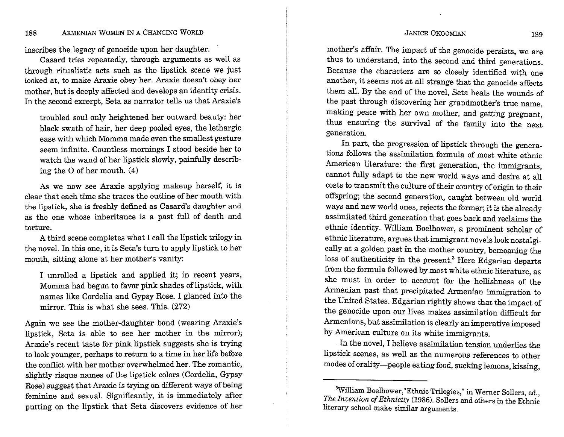#### JANICE OKOOMIAN 189

## 188 ARMENIAN WOMEN IN A CHANGING WORLD

inscribes the legacy of genocide upon her daughter.

Casard tries repeatedly, through arguments as well as through ritualistic acts such as the lipstick scene we just looked at, to make Araxie obey her. Araxie doesn't obey her mother, but is deeply affected and develops an identity crisis. In the second excerpt, Seta as narrator tells us that Araxie's

troubled soul only heightened her outward beauty: her black swath of hair, her deep pooled eyes, the lethargic ease with which Momma made even the smallest gesture seem infinite. Countless mornings I stood beside her to watch the wand of her lipstick slowly, painfully describing the O of her mouth. (4)

As we now see Araxie applying makeup herself, it is clear that each time she traces the outline of her mouth with the lipstick, she is freshly defined as Casard's daughter and as the one whose inheritance is a past full of death and torture.

A third scene completes what I call the lipstick trilogy in the novel. In this one, it is Seta's turn to apply lipstick to her mouth, sitting alone at her mother's vanity:

I unrolled a lipstick and applied it; in recent years, Momma had begun to favor pink shades of lipstick, with names like Cordelia and Gypsy Rose. I glanced into the mirror. This is what she sees. This. (272)

Again we see the mother-daughter bond (wearing Araxie's lipstick, Seta is able to see her mother in the mirror); Araxie's recent taste for pink lipstick suggests she is trying to look younger, perhaps to return to a time in her life before the conflict with her mother overwhelmed her. The romantic, slightly risque names of the lipstick colors (Cordelia, Gypsy Rose) suggest that Araxie is trying on different ways of being feminine and sexual. Significantly, it is immediately after putting on the lipstick that Seta discovers evidence of her

mother's affair. The impact of the genocide persists, we are thus to understand, into the second and third generations. Because the characters are so closely identified with one another, it seems not at all strange that the genocide affects them all. By the end of the novel, Seta heals the wounds of the past through discovering her grandmother's true name, making peace with her own mother, and getting pregnant, thus ensuring the survival of the family into the next generation.

In part, the progression of lipstick through the generations follows the assimilation formula of most white ethnic American literature: the first generation, the immigrants, cannot fully adapt to the new world ways and desire at all costs to transmit the culture of their country of origin to their offspring; the second generation, caught between old world ways and new world ones, rejects the former; it is the already assimilated third generation that goes back and reclaims the ethnic identity. William Boelhower, a prominent scholar of ethnic literature, argues that immigrant novels look nostalgically at a golden past in the mother country, bemoaning the loss of authenticity in the present.<sup>3</sup> Here Edgarian departs from the formula followed by most white ethnic literature, as she must in order to account for the hellishness of the Armenian past that precipitated Armenian immigration to the United States. Edgarian rightly shows that the impact of the genocide upon our lives makes assimilation difficult for Armenians, but assimilation is clearly an imperative imposed by American culture on its white immigrants.

. In the novel, I believe assimilation tension underlies the lipstick scenes, as well as the numerous references to other modes of orality-people eating food, sucking lemons, kissing,

<sup>&</sup>lt;sup>3</sup>William Boelhower,"Ethnic Trilogies," in Werner Sollers, ed., *The Invention of Ethnicity* (1986). Sollers and others in the Ethnic literary school make similar arguments.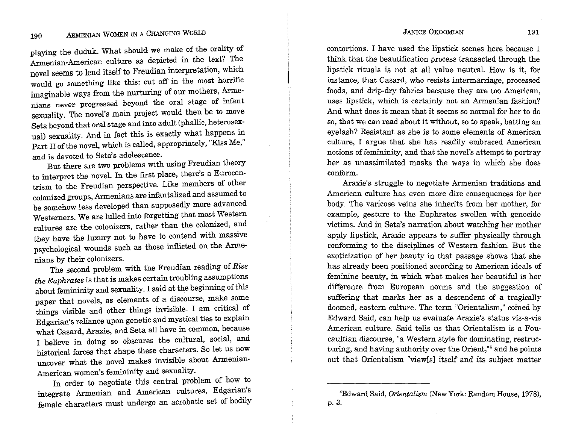playing the duduk. What should we make of the orality of Armenian-American culture as depicted in the text? The novel seems to lend itself to Freudian interpretation, which would go something like this: cut off in the most horrific imaginable ways from the nurturing of our mothers, Armenians never progressed beyond the oral stage of infant sexuality. The novel's main project would then be to move Seta beyond that oral stage and into adult (phallic, heterosexual) sexuality. And in fact this is exactly what happens in Part II of the novel, which is called, appropriately, "Kiss Me," and is devoted to Seta's adolescence.

But there are two problems with using Freudian theory to interpret the novel. In the first place, there's a Eurocentrism to the Freudian perspective. Like members of other colonized groups, Armenians are infantalized and assumed to be somehow less developed than supposedly more advanced Westerners. We are lulled into forgetting that most Western cultures are the colonizers, rather than the colonized, and they have the luxury not to have to contend with massive psychological wounds such as those inflicted on the Armenians by their colonizers.

The second problem with the Freudian reading of *Rise the Euphrates* is that is makes certain troubling assumptions about femininity and sexuality. I said at the beginning of this paper that novels, as elements of a discourse, make some things visible and other things invisible. I am critical of Edgarian's reliance upon genetic and mystical ties to explain what Casard, Araxie, and Seta all have in common, because I believe in doing so obscures the cultural, social, and historical forces that shape these characters. So let us now uncover what the novel makes invisible about Armenian-American women's femininity and sexuality.

In order to negotiate this central problem of how to integrate Armenian and American cultures, Edgarian's female characters must undergo an acrobatic set of bodily contortions. I have used the lipstick scenes here because I think that the beautification process transacted through the lipstick rituals is not at all value neutral. How is it, for instance, that Casard, who resists intermarriage, processed foods, and drip-dry fabrics because they are too American, uses lipstick, which is certainly not an Armenian fashion? And what does it mean that it seems so normal for her to do so, that we can read about it without, so to speak, batting an eyelash? Resistant as she is to some elements of American culture, I argue that she has readily embraced American notions of femininity, and that the novel's attempt to portray her as unassimilated masks the ways in which she does conform.

Araxie's struggle to negotiate Armenian traditions and American culture has even more dire consequences for her body. The varicose veins she inherits from her mother, for example, gesture to the Euphrates swollen with genocide victims. And in Seta's narration about watching her mother apply lipstick, Araxie appears to suffer physically through conforming to the disciplines of Western fashion. But the exoticization of her beauty in that passage shows that she has already been positioned according to American ideals of feminine beauty, in which what makes her beautiful is her difference from European norms and the suggestion of suffering that marks her as a descendent of a tragically doomed, eastern culture. The term "Orientalism," coined by Edward Said, can help us evaluate Araxie's status vis-a-vis American culture. Said tells us that Orientalism is a Foucaultian discourse, "a Western style for dominating, restructuring, and having authority over the Orient,"<sup>4</sup> and he points out that Orientalism "view[s] itself and its subject matter

<sup>4</sup> Edward Said, *Orientalism* (New York: Random House, 1978), p. 3.